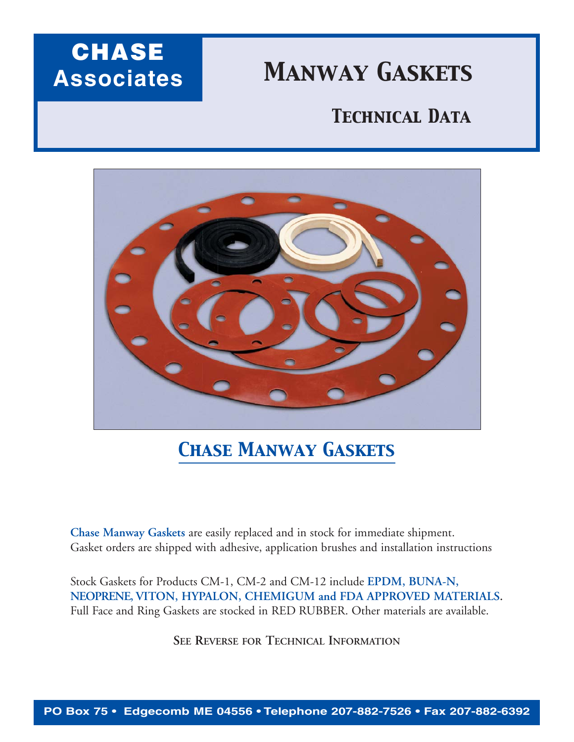## **CHASE Associates**

# *Manway Gaskets*

### *Technical Data*



### *Chase Manway Gaskets*

**Chase Manway Gaskets** are easily replaced and in stock for immediate shipment. Gasket orders are shipped with adhesive, application brushes and installation instructions

Stock Gaskets for Products CM-1, CM-2 and CM-12 include **EPDM, BUNA-N, NEOPRENE, VITON, HYPALON, CHEMIGUM and FDA APPROVED MATERIALS.** Full Face and Ring Gaskets are stocked in RED RUBBER. Other materials are available.

**SEE REVERSE FOR TECHNICAL INFORMATION**